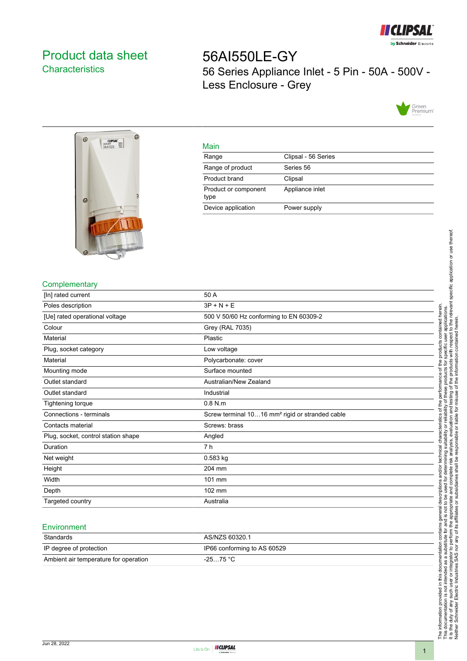

# <span id="page-0-0"></span>Product data sheet **Characteristics**

56AI550LE-GY 56 Series Appliance Inlet - 5 Pin - 50A - 500V - Less Enclosure - Grey





#### Main

| Clipsal - 56 Series |
|---------------------|
| Series 56           |
| Clipsal             |
| Appliance inlet     |
| Power supply        |
|                     |

## **Complementary**

| [In] rated current                  | 50 A                                                        |
|-------------------------------------|-------------------------------------------------------------|
| Poles description                   | $3P + N + E$                                                |
| [Ue] rated operational voltage      | 500 V 50/60 Hz conforming to EN 60309-2                     |
| Colour                              | Grey (RAL 7035)                                             |
| Material                            | Plastic                                                     |
| Plug, socket category               | Low voltage                                                 |
| Material                            | Polycarbonate: cover                                        |
| Mounting mode                       | Surface mounted                                             |
| Outlet standard                     | Australian/New Zealand                                      |
| Outlet standard                     | Industrial                                                  |
| Tightening torque                   | $0.8$ N.m                                                   |
| Connections - terminals             | Screw terminal 1016 mm <sup>2</sup> rigid or stranded cable |
| Contacts material                   | Screws: brass                                               |
| Plug, socket, control station shape | Angled                                                      |
| Duration                            | 7 <sub>h</sub>                                              |
| Net weight                          | $0.583$ kg                                                  |
| Height                              | 204 mm                                                      |
| Width                               | 101 mm                                                      |
| Depth                               | 102 mm                                                      |
| Targeted country                    | Australia                                                   |

#### **Environment**

| Standards                             | AS/NZS 60320.1              |
|---------------------------------------|-----------------------------|
| IP degree of protection               | IP66 conforming to AS 60529 |
| Ambient air temperature for operation | $-2575 °C$                  |